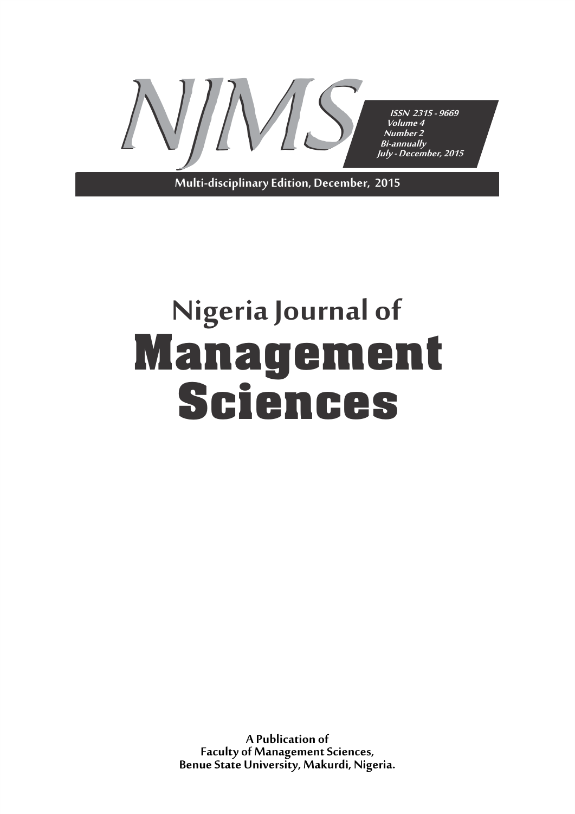

**Multi-disciplinary Edition, December, 2015**

# **Nigeria Journal of Management Sciences**

**A Publication of Faculty of Management Sciences, Benue State University, Makurdi, Nigeria.**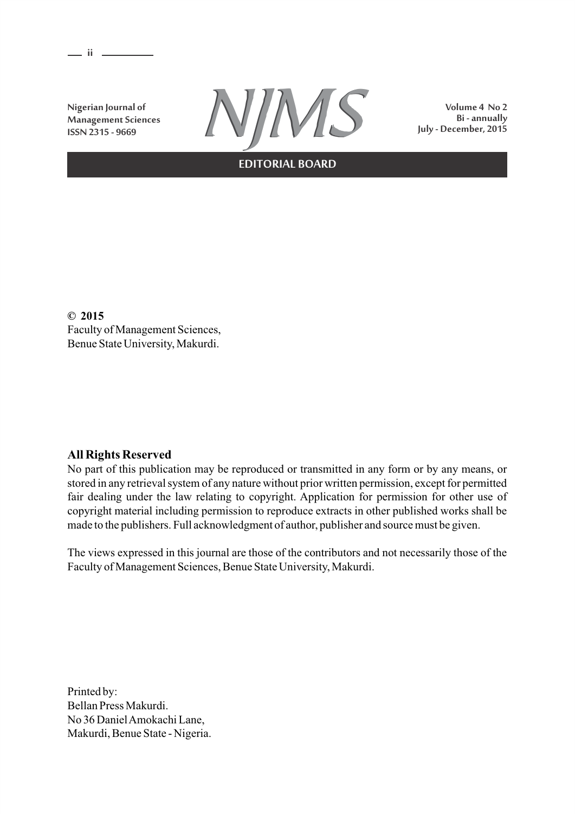**ii** 

**Nigerian Journal of Management Sciences ISSN 2315 - 9669**



**Volume 4 No 2**

**EDITORIAL BOARD**

**© 2015** Faculty of Management Sciences, Benue State University, Makurdi.

# **All Rights Reserved**

No part of this publication may be reproduced or transmitted in any form or by any means, or stored in any retrieval system of any nature without prior written permission, except for permitted fair dealing under the law relating to copyright. Application for permission for other use of copyright material including permission to reproduce extracts in other published works shall be made to the publishers. Full acknowledgment of author, publisher and source must be given.

The views expressed in this journal are those of the contributors and not necessarily those of the Faculty of Management Sciences, Benue State University, Makurdi.

Printed by: Bellan Press Makurdi. No 36 Daniel Amokachi Lane, Makurdi, Benue State - Nigeria.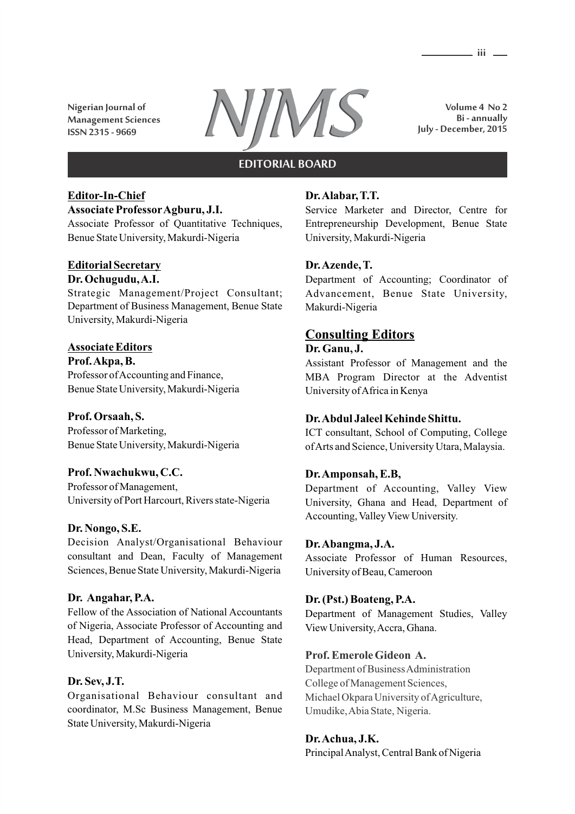**Nigerian Journal of Management Sciences**



**Volume 4 No 2 Bi - annually July - December, 2015**

#### **EDITORIAL BOARD**

#### **Editor-In-Chief Associate ProfessorAgburu, J.I.**

Associate Professor of Quantitative Techniques, Benue State University, Makurdi-Nigeria

#### **Editorial Secretary Dr. Ochugudu, A.I.**

Strategic Management/Project Consultant; Department of Business Management, Benue State University, Makurdi-Nigeria

# **Associate Editors**

**Prof. Akpa, B.** Professor of Accounting and Finance, Benue State University, Makurdi-Nigeria

# **Prof. Orsaah, S.**

Professor of Marketing, Benue State University, Makurdi-Nigeria

# **Prof. Nwachukwu, C.C.**

Professor of Management, University of Port Harcourt, Rivers state-Nigeria

#### **Dr. Nongo, S.E.**

Decision Analyst/Organisational Behaviour consultant and Dean, Faculty of Management Sciences, Benue State University, Makurdi-Nigeria

#### **Dr. Angahar, P.A.**

Fellow of the Association of National Accountants of Nigeria, Associate Professor of Accounting and Head, Department of Accounting, Benue State University, Makurdi-Nigeria

#### **Dr. Sev, J.T.**

Organisational Behaviour consultant and coordinator, M.Sc Business Management, Benue State University, Makurdi-Nigeria

## **Dr. Alabar, T.T.**

Service Marketer and Director, Centre for Entrepreneurship Development, Benue State University, Makurdi-Nigeria

## **Dr. Azende, T.**

Department of Accounting; Coordinator of Advancement, Benue State University, Makurdi-Nigeria

# **Consulting Editors**

#### **Dr. Ganu, J.**

Assistant Professor of Management and the MBA Program Director at the Adventist University of Africa in Kenya

# **Dr. Abdul Jaleel Kehinde Shittu.**

ICT consultant, School of Computing, College of Arts and Science, University Utara, Malaysia.

#### **Dr. Amponsah, E.B,**

Department of Accounting, Valley View University, Ghana and Head, Department of Accounting, Valley View University.

#### **Dr. Abangma, J.A.**

Associate Professor of Human Resources, University of Beau, Cameroon

#### **Dr. (Pst.) Boateng, P.A.**

Department of Management Studies, Valley View University, Accra, Ghana.

#### **Prof. Emerole Gideon A.**

Department of Business Administration College of Management Sciences, Michael Okpara University of Agriculture, Umudike, Abia State, Nigeria.

#### **Dr. Achua, J.K.**

Principal Analyst, Central Bank of Nigeria

**iii**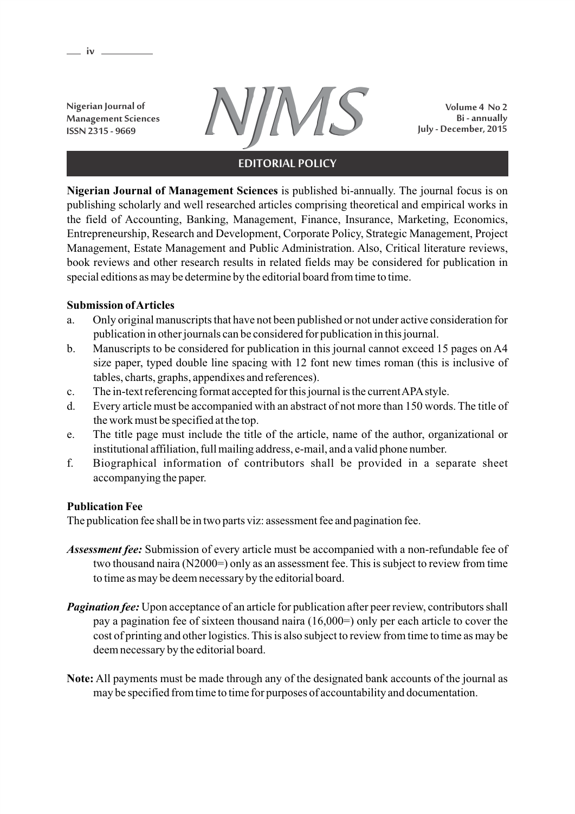**Management Sciences ISSN 2315 - 9669**

**iv**



**Volume 4 No 2 Bi - annually July - December, 2015**

# **EDITORIAL POLICY**

**Nigerian Journal of Management Sciences** is published bi-annually. The journal focus is on publishing scholarly and well researched articles comprising theoretical and empirical works in the field of Accounting, Banking, Management, Finance, Insurance, Marketing, Economics, Entrepreneurship, Research and Development, Corporate Policy, Strategic Management, Project Management, Estate Management and Public Administration. Also, Critical literature reviews, book reviews and other research results in related fields may be considered for publication in special editions as may be determine by the editorial board from time to time.

## **Submission of Articles**

- a. Only original manuscripts that have not been published or not under active consideration for publication in other journals can be considered for publication in this journal.
- b. Manuscripts to be considered for publication in this journal cannot exceed 15 pages on A4 size paper, typed double line spacing with 12 font new times roman (this is inclusive of tables, charts, graphs, appendixes and references).
- c. The in-text referencing format accepted for this journal is the current APAstyle.
- d. Every article must be accompanied with an abstract of not more than 150 words. The title of the work must be specified at the top.
- e. The title page must include the title of the article, name of the author, organizational or institutional affiliation, full mailing address, e-mail, and a valid phone number.
- f. Biographical information of contributors shall be provided in a separate sheet accompanying the paper.

# **Publication Fee**

The publication fee shall be in two parts viz: assessment fee and pagination fee.

- *Assessment fee:* Submission of every article must be accompanied with a non-refundable fee of two thousand naira (N2000=) only as an assessment fee. This is subject to review from time to time as may be deem necessary by the editorial board.
- *Pagination fee:* Upon acceptance of an article for publication after peer review, contributors shall pay a pagination fee of sixteen thousand naira (16,000=) only per each article to cover the cost of printing and other logistics. This is also subject to review from time to time as may be deem necessary by the editorial board.
- **Note:** All payments must be made through any of the designated bank accounts of the journal as may be specified from time to time for purposes of accountability and documentation.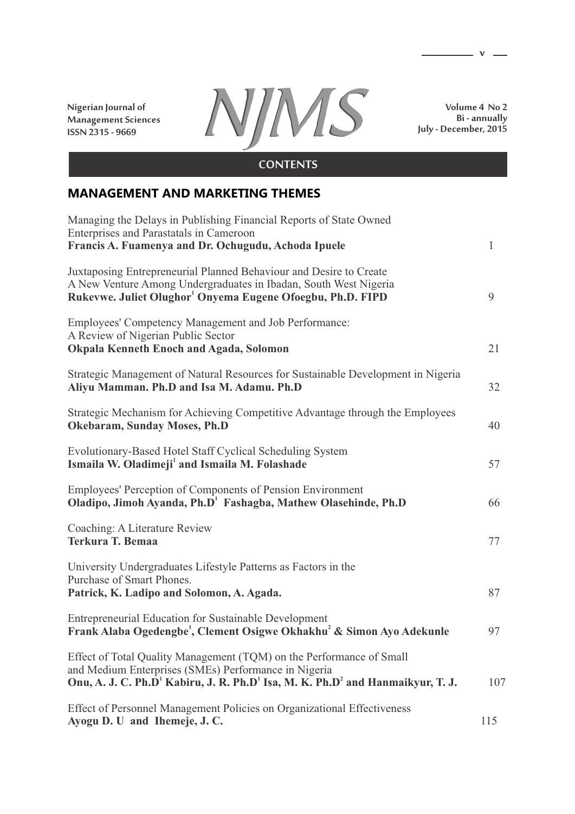**Nigerian Journal of Management Sciences ISSN 2315 - 9669**



**Volume 4 No 2 Bi - annually July - December, 2015**

 $\mathbf{v}$   $\mathbf{v}$ 

# **CONTENTS**

# **MANAGEMENT AND MARKETING THEMES**

| Managing the Delays in Publishing Financial Reports of State Owned<br>Enterprises and Parastatals in Cameroon                                                                                                                                      |              |
|----------------------------------------------------------------------------------------------------------------------------------------------------------------------------------------------------------------------------------------------------|--------------|
| Francis A. Fuamenya and Dr. Ochugudu, Achoda Ipuele                                                                                                                                                                                                | $\mathbf{1}$ |
| Juxtaposing Entrepreneurial Planned Behaviour and Desire to Create<br>A New Venture Among Undergraduates in Ibadan, South West Nigeria<br>Rukevwe. Juliet Olughor <sup>1</sup> Onyema Eugene Ofoegbu, Ph.D. FIPD                                   | 9            |
| Employees' Competency Management and Job Performance:<br>A Review of Nigerian Public Sector<br><b>Okpala Kenneth Enoch and Agada, Solomon</b>                                                                                                      | 21           |
| Strategic Management of Natural Resources for Sustainable Development in Nigeria<br>Aliyu Mamman. Ph.D and Isa M. Adamu. Ph.D                                                                                                                      | 32           |
| Strategic Mechanism for Achieving Competitive Advantage through the Employees<br>Okebaram, Sunday Moses, Ph.D                                                                                                                                      | 40           |
| Evolutionary-Based Hotel Staff Cyclical Scheduling System<br>Ismaila W. Oladimeji <sup>1</sup> and Ismaila M. Folashade                                                                                                                            | 57           |
| Employees' Perception of Components of Pension Environment<br>Oladipo, Jimoh Ayanda, Ph.D <sup>1</sup> Fashagba, Mathew Olasehinde, Ph.D                                                                                                           | 66           |
| Coaching: A Literature Review<br><b>Terkura T. Bemaa</b>                                                                                                                                                                                           | 77           |
| University Undergraduates Lifestyle Patterns as Factors in the<br>Purchase of Smart Phones.<br>Patrick, K. Ladipo and Solomon, A. Agada.                                                                                                           | 87           |
| Entrepreneurial Education for Sustainable Development<br>Frank Alaba Ogedengbe <sup>1</sup> , Clement Osigwe Okhakhu <sup>2</sup> & Simon Ayo Adekunle                                                                                             | 97           |
| Effect of Total Quality Management (TQM) on the Performance of Small<br>and Medium Enterprises (SMEs) Performance in Nigeria<br>Onu, A. J. C. Ph.D <sup>1</sup> Kabiru, J. R. Ph.D <sup>1</sup> Isa, M. K. Ph.D <sup>2</sup> and Hanmaikyur, T. J. | 107          |
| Effect of Personnel Management Policies on Organizational Effectiveness<br>Ayogu D. U and Ihemeje, J. C.                                                                                                                                           | 115          |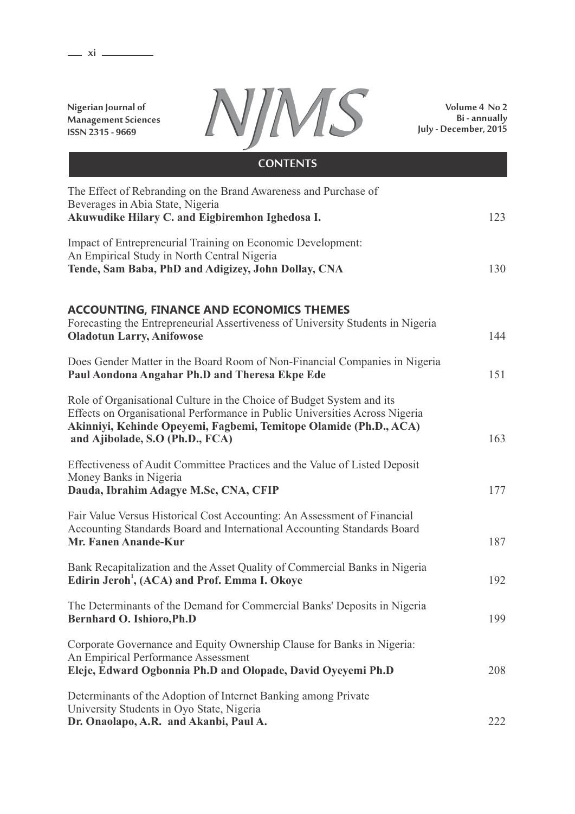**xi**

**Nigerian Journal of Management Sciences ISSN 2315 - 9669**



**Volume 4 No 2 Bi - annually July - December, 2015**

| <b>CONTENTS</b>                                                                                                                                                                                                                                              |     |
|--------------------------------------------------------------------------------------------------------------------------------------------------------------------------------------------------------------------------------------------------------------|-----|
| The Effect of Rebranding on the Brand Awareness and Purchase of<br>Beverages in Abia State, Nigeria<br>Akuwudike Hilary C. and Eigbiremhon Ighedosa I.                                                                                                       | 123 |
| Impact of Entrepreneurial Training on Economic Development:<br>An Empirical Study in North Central Nigeria<br>Tende, Sam Baba, PhD and Adigizey, John Dollay, CNA                                                                                            | 130 |
| <b>ACCOUNTING, FINANCE AND ECONOMICS THEMES</b><br>Forecasting the Entrepreneurial Assertiveness of University Students in Nigeria<br><b>Oladotun Larry, Anifowose</b>                                                                                       | 144 |
| Does Gender Matter in the Board Room of Non-Financial Companies in Nigeria<br>Paul Aondona Angahar Ph.D and Theresa Ekpe Ede                                                                                                                                 | 151 |
| Role of Organisational Culture in the Choice of Budget System and its<br>Effects on Organisational Performance in Public Universities Across Nigeria<br>Akinniyi, Kehinde Opeyemi, Fagbemi, Temitope Olamide (Ph.D., ACA)<br>and Ajibolade, S.O (Ph.D., FCA) | 163 |
| Effectiveness of Audit Committee Practices and the Value of Listed Deposit<br>Money Banks in Nigeria<br>Dauda, Ibrahim Adagye M.Sc, CNA, CFIP                                                                                                                | 177 |
| Fair Value Versus Historical Cost Accounting: An Assessment of Financial<br>Accounting Standards Board and International Accounting Standards Board<br>Mr. Fanen Anande-Kur                                                                                  | 187 |
| Bank Recapitalization and the Asset Quality of Commercial Banks in Nigeria<br>Edirin Jeroh <sup>1</sup> , (ACA) and Prof. Emma I. Okoye                                                                                                                      | 192 |
| The Determinants of the Demand for Commercial Banks' Deposits in Nigeria<br>Bernhard O. Ishioro, Ph.D                                                                                                                                                        | 199 |
| Corporate Governance and Equity Ownership Clause for Banks in Nigeria:<br>An Empirical Performance Assessment<br>Eleje, Edward Ogbonnia Ph.D and Olopade, David Oyeyemi Ph.D                                                                                 | 208 |
| Determinants of the Adoption of Internet Banking among Private<br>University Students in Oyo State, Nigeria<br>Dr. Onaolapo, A.R. and Akanbi, Paul A.                                                                                                        | 222 |